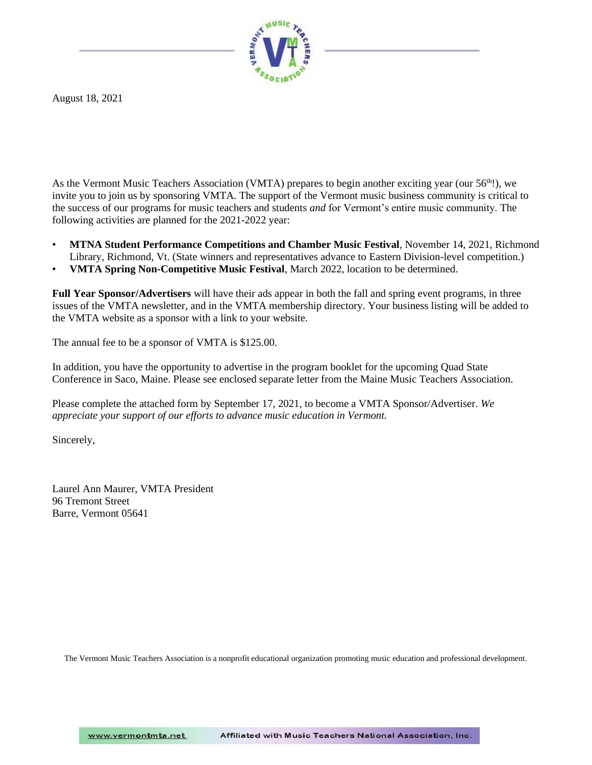

August 18, 2021

As the Vermont Music Teachers Association (VMTA) prepares to begin another exciting year (our 56<sup>th</sup>!), we invite you to join us by sponsoring VMTA. The support of the Vermont music business community is critical to the success of our programs for music teachers and students *and* for Vermont's entire music community. The following activities are planned for the 2021-2022 year:

- **MTNA Student Performance Competitions and Chamber Music Festival**, November 14, 2021, Richmond Library, Richmond, Vt. (State winners and representatives advance to Eastern Division-level competition.)
- **VMTA Spring Non-Competitive Music Festival**, March 2022, location to be determined.

**Full Year Sponsor/Advertisers** will have their ads appear in both the fall and spring event programs, in three issues of the VMTA newsletter, and in the VMTA membership directory. Your business listing will be added to the VMTA website as a sponsor with a link to your website.

The annual fee to be a sponsor of VMTA is \$125.00.

In addition, you have the opportunity to advertise in the program booklet for the upcoming Quad State Conference in Saco, Maine. Please see enclosed separate letter from the Maine Music Teachers Association.

Please complete the attached form by September 17, 2021, to become a VMTA Sponsor/Advertiser. *We appreciate your support of our efforts to advance music education in Vermont.*

Sincerely,

Laurel Ann Maurer, VMTA President 96 Tremont Street Barre, Vermont 05641

The Vermont Music Teachers Association is a nonprofit educational organization promoting music education and professional development.